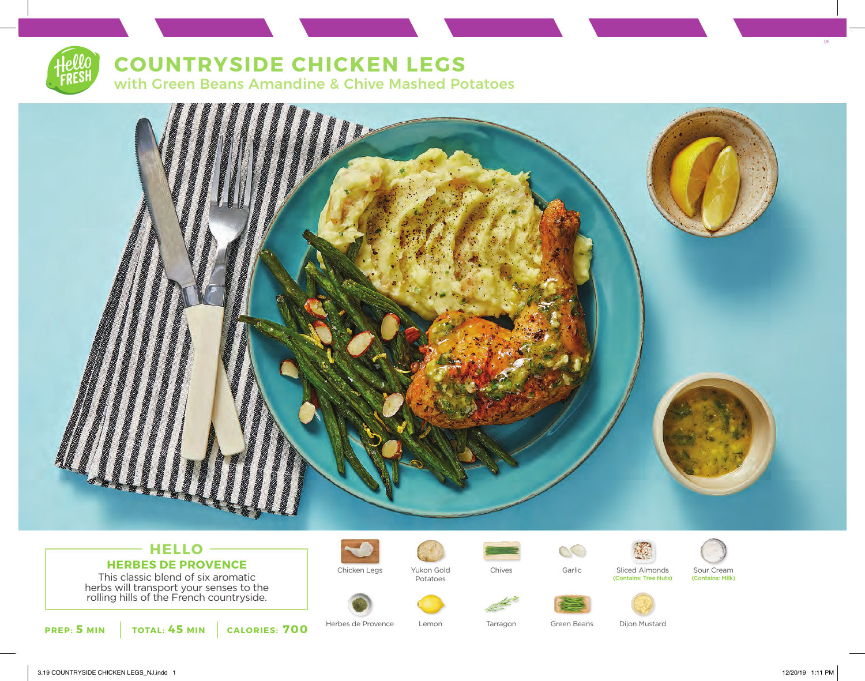

## **COUNTRYSIDE CHICKEN LEGS**

with Green Beans Amandine & Chive Mashed Potatoes



## **HELLO HERBES DE PROVENCE** This classic blend of six aromatic

herbs will transport your senses to the rolling hills of the French countryside.





Chicken Legs Yukon Gold Chives Garlic Sliced Almonds Sour Cream<br>Potatoes Potatoes Contains: Tree Nuts) (Contains: Milk) Potatoes











(Contains: Tree Nuts)

19